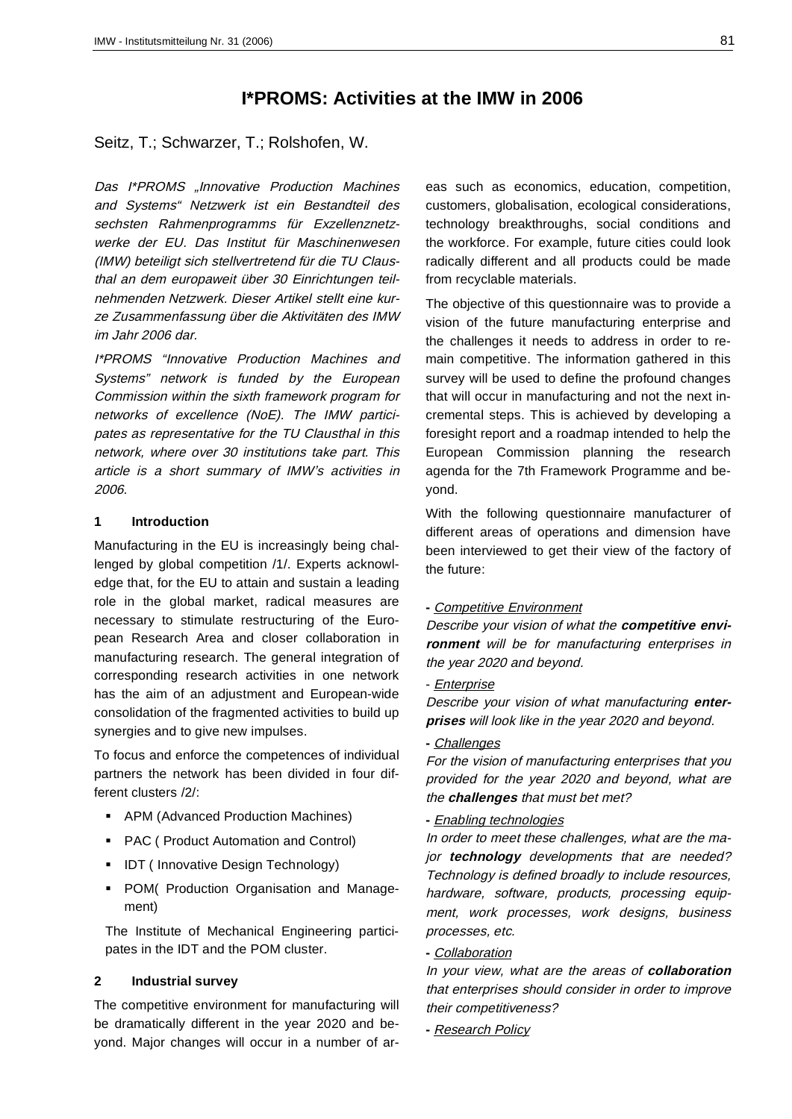# **I\*PROMS: Activities at the IMW in 2006**

Seitz, T.; Schwarzer, T.; Rolshofen, W.

Das I\*PROMS "Innovative Production Machines and Systems" Netzwerk ist ein Bestandteil des sechsten Rahmenprogramms für Exzellenznetzwerke der EU. Das Institut für Maschinenwesen (IMW) beteiligt sich stellvertretend für die TU Clausthal an dem europaweit über 30 Einrichtungen teilnehmenden Netzwerk. Dieser Artikel stellt eine kurze Zusammenfassung über die Aktivitäten des IMW im Jahr 2006 dar.

I\*PROMS "Innovative Production Machines and Systems" network is funded by the European Commission within the sixth framework program for networks of excellence (NoE). The IMW participates as representative for the TU Clausthal in this network, where over 30 institutions take part. This article is a short summary of IMW's activities in 2006.

### **1 Introduction**

Manufacturing in the EU is increasingly being challenged by global competition /1/. Experts acknowledge that, for the EU to attain and sustain a leading role in the global market, radical measures are necessary to stimulate restructuring of the European Research Area and closer collaboration in manufacturing research. The general integration of corresponding research activities in one network has the aim of an adjustment and European-wide consolidation of the fragmented activities to build up synergies and to give new impulses.

To focus and enforce the competences of individual partners the network has been divided in four different clusters /2/:

- APM (Advanced Production Machines)
- **PAC ( Product Automation and Control)**
- **IDT** ( Innovative Design Technology)
- **POM**( Production Organisation and Management)

The Institute of Mechanical Engineering participates in the IDT and the POM cluster.

# **2 Industrial survey**

The competitive environment for manufacturing will be dramatically different in the year 2020 and beyond. Major changes will occur in a number of areas such as economics, education, competition, customers, globalisation, ecological considerations, technology breakthroughs, social conditions and the workforce. For example, future cities could look radically different and all products could be made from recyclable materials.

The objective of this questionnaire was to provide a vision of the future manufacturing enterprise and the challenges it needs to address in order to remain competitive. The information gathered in this survey will be used to define the profound changes that will occur in manufacturing and not the next incremental steps. This is achieved by developing a foresight report and a roadmap intended to help the European Commission planning the research agenda for the 7th Framework Programme and beyond.

With the following questionnaire manufacturer of different areas of operations and dimension have been interviewed to get their view of the factory of the future:

### **-** Competitive Environment

Describe your vision of what the **competitive environment** will be for manufacturing enterprises in the year 2020 and beyond.

### - Enterprise

Describe your vision of what manufacturing **enterprises** will look like in the year 2020 and beyond.

#### **-** Challenges

For the vision of manufacturing enterprises that you provided for the year 2020 and beyond, what are the **challenges** that must bet met?

### **-** Enabling technologies

In order to meet these challenges, what are the major **technology** developments that are needed? Technology is defined broadly to include resources, hardware, software, products, processing equipment, work processes, work designs, business processes, etc.

# **-** Collaboration

In your view, what are the areas of **collaboration** that enterprises should consider in order to improve their competitiveness?

**-** Research Policy